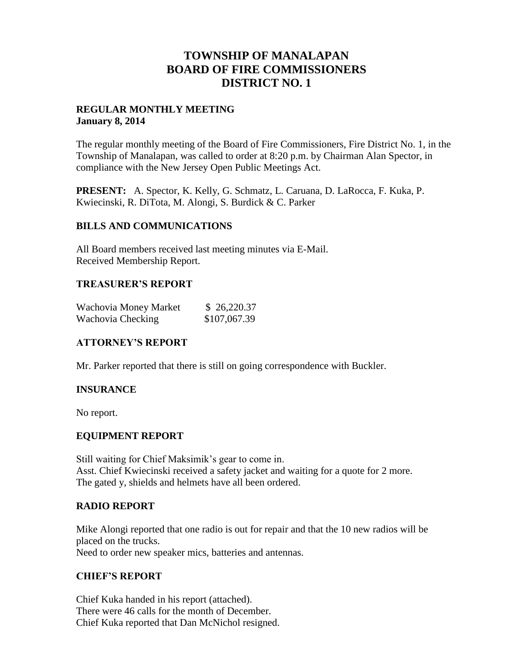# **TOWNSHIP OF MANALAPAN BOARD OF FIRE COMMISSIONERS DISTRICT NO. 1**

### **REGULAR MONTHLY MEETING January 8, 2014**

The regular monthly meeting of the Board of Fire Commissioners, Fire District No. 1, in the Township of Manalapan, was called to order at 8:20 p.m. by Chairman Alan Spector, in compliance with the New Jersey Open Public Meetings Act.

**PRESENT:** A. Spector, K. Kelly, G. Schmatz, L. Caruana, D. LaRocca, F. Kuka, P. Kwiecinski, R. DiTota, M. Alongi, S. Burdick & C. Parker

#### **BILLS AND COMMUNICATIONS**

All Board members received last meeting minutes via E-Mail. Received Membership Report.

## **TREASURER'S REPORT**

| Wachovia Money Market | \$26,220.37  |
|-----------------------|--------------|
| Wachovia Checking     | \$107,067.39 |

## **ATTORNEY'S REPORT**

Mr. Parker reported that there is still on going correspondence with Buckler.

## **INSURANCE**

No report.

#### **EQUIPMENT REPORT**

Still waiting for Chief Maksimik's gear to come in. Asst. Chief Kwiecinski received a safety jacket and waiting for a quote for 2 more. The gated y, shields and helmets have all been ordered.

#### **RADIO REPORT**

Mike Alongi reported that one radio is out for repair and that the 10 new radios will be placed on the trucks. Need to order new speaker mics, batteries and antennas.

#### **CHIEF'S REPORT**

Chief Kuka handed in his report (attached). There were 46 calls for the month of December. Chief Kuka reported that Dan McNichol resigned.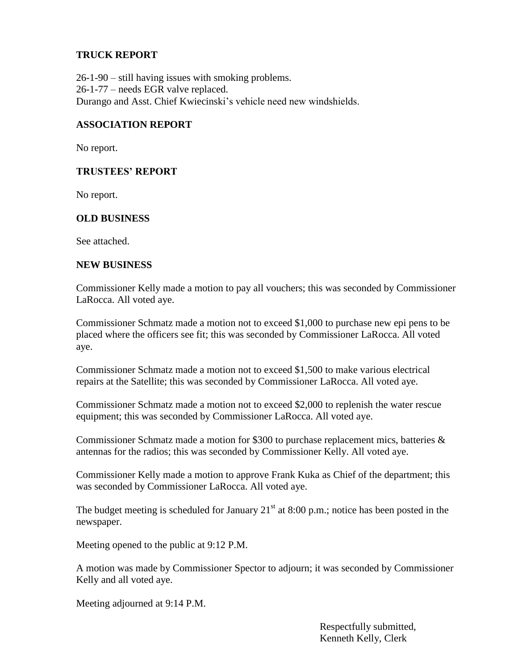## **TRUCK REPORT**

26-1-90 – still having issues with smoking problems. 26-1-77 – needs EGR valve replaced. Durango and Asst. Chief Kwiecinski's vehicle need new windshields.

### **ASSOCIATION REPORT**

No report.

## **TRUSTEES' REPORT**

No report.

## **OLD BUSINESS**

See attached.

#### **NEW BUSINESS**

Commissioner Kelly made a motion to pay all vouchers; this was seconded by Commissioner LaRocca. All voted aye.

Commissioner Schmatz made a motion not to exceed \$1,000 to purchase new epi pens to be placed where the officers see fit; this was seconded by Commissioner LaRocca. All voted aye.

Commissioner Schmatz made a motion not to exceed \$1,500 to make various electrical repairs at the Satellite; this was seconded by Commissioner LaRocca. All voted aye.

Commissioner Schmatz made a motion not to exceed \$2,000 to replenish the water rescue equipment; this was seconded by Commissioner LaRocca. All voted aye.

Commissioner Schmatz made a motion for \$300 to purchase replacement mics, batteries & antennas for the radios; this was seconded by Commissioner Kelly. All voted aye.

Commissioner Kelly made a motion to approve Frank Kuka as Chief of the department; this was seconded by Commissioner LaRocca. All voted aye.

The budget meeting is scheduled for January  $21<sup>st</sup>$  at 8:00 p.m.; notice has been posted in the newspaper.

Meeting opened to the public at 9:12 P.M.

A motion was made by Commissioner Spector to adjourn; it was seconded by Commissioner Kelly and all voted aye.

Meeting adjourned at 9:14 P.M.

 Respectfully submitted, Kenneth Kelly, Clerk